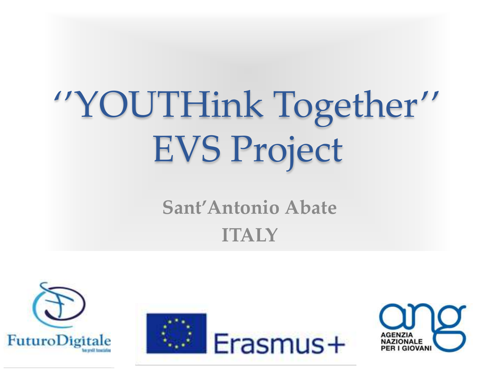# ''YOUTHink Together'' EVS Project

### **Sant'Antonio Abate ITALY**





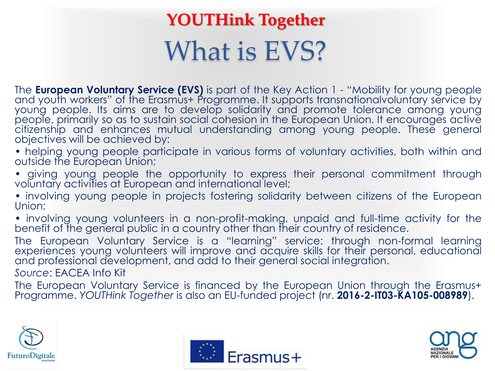### What is EVS? **YOUTHink Together**

The **European Voluntary Service (EVS)** is part of the Key Action 1 - "Mobility for young people and youth workers" of the Erasmus+ Programme. It supports transnationalvoluntary service by young people. Its aims are to develop solidarity and promote tolerance among young people, primarily so as to sustain social cohesion in the European Union. It encourages active citizenship and enhances mutual understanding among young people. These general objectives will be achieved by:

• helping young people participate in various forms of voluntary activities, both within and outside the European Union;

- giving young people the opportunity to express their personal commitment through voluntary activities at European and international level;
- involving young people in projects fostering solidarity between citizens of the European Union;
- involving young volunteers in a non-profit-making, unpaid and full-time activity for the benefit of the general public in a country other than their country of residence.

The European Voluntary Service is a "learning" service: through non-formal learning experiences young volunteers will improve and acquire skills for their personal, educational and professional development, and add to their general social integration.

*Source*: EACEA Info Kit

The European Voluntary Service is financed by the European Union through the Erasmus+ Programme. *YOUTHink Together* is also an EU-funded project (nr. **2016-2-IT03-KA105-008989**).





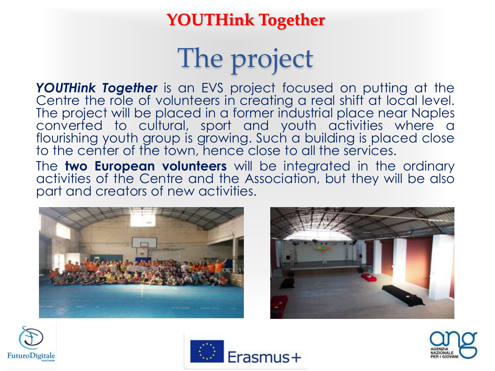### The project

*YOUTHink Together* is an EVS project focused on putting at the Centre the role of volunteers in creating a real shift at local level. The project will be placed in a former industrial place near Naples converted to cultural, sport and youth activities where a flourishing youth group is growing. Such a building is placed close to the center of the town, hence close to all the services.

The **two European volunteers** will be integrated in the ordinary activities of the Centre and the Association, but they will be also part and creators of new activities.









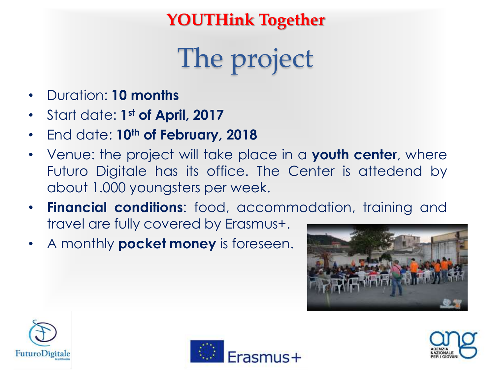The project

- Duration: **10 months**
- Start date: **1 st of April, 2017**
- End date: **10th of February, 2018**
- Venue: the project will take place in a **youth center**, where Futuro Digitale has its office. The Center is attedend by about 1.000 youngsters per week.
- **Financial conditions**: food, accommodation, training and travel are fully covered by Erasmus+.
- A monthly **pocket money** is foreseen.







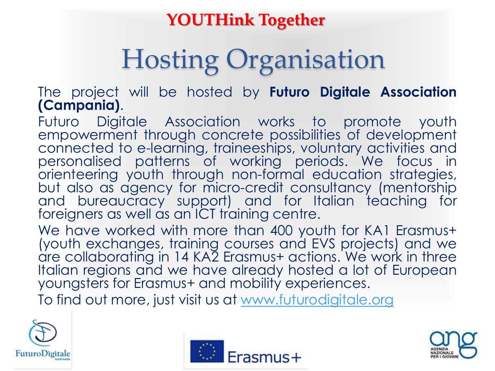# Hosting Organisation

The project will be hosted by **Futuro Digitale Association (Campania)**.

Futuro Digitale Association works to promote youth empowerment through concrete possibilities of development connected to e-learning, traineeships, voluntary activities and personalised patterns of working periods. We focus in orienteering youth through non-formal education strategies, but also as agency for micro-credit consultancy (mentorship and bureaucracy support) and for Italian teaching for foreigners as well as an ICT training centre.

We have worked with more than 400 youth for KA1 Erasmus+ (youth exchanges, training courses and EVS projects) and we are collaborating in 14 KA2 Erasmus+ actions. We work in three Italian regions and we have already hosted a lot of European youngsters for Erasmus+ and mobility experiences.

To find out more, just visit us at [www.futurodigitale.org](http://www.futurodigitale.org/)





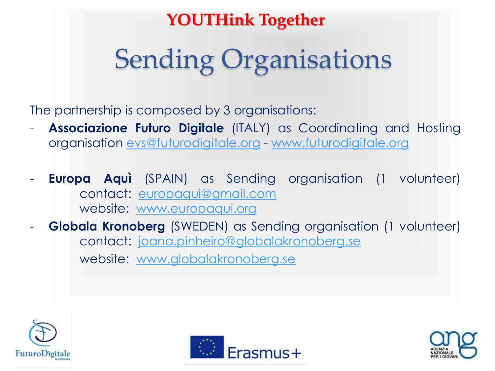# Sending Organisations

The partnership is composed by 3 organisations:

- **Associazione Futuro Digitale** (ITALY) as Coordinating and Hosting organisation [evs@futurodigitale.org](mailto:evs@futurodigitale.org) - [www.futurodigitale.org](http://www.futurodigitale.org/)
- **Europa Aquì** (SPAIN) as Sending organisation (1 volunteer) contact: [europaqui@gmail.com](mailto:europaqui@gmail.com) website: [www.europaqui.org](http://www.europaqui.org/)
- **Globala Kronoberg** (SWEDEN) as Sending organisation (1 volunteer) contact: [joana.pinheiro@globalakronoberg.se](mailto:joana.pinheiro@globalakronoberg.se) website: [www.globalakronoberg.se](http://www.globalakronoberg.se/)





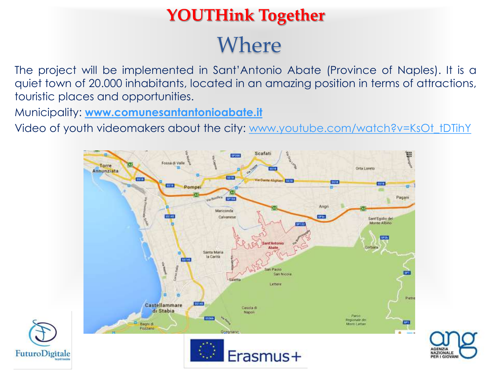### Where **YOUTHink Together**

The project will be implemented in Sant'Antonio Abate (Province of Naples). It is a quiet town of 20.000 inhabitants, located in an amazing position in terms of attractions, touristic places and opportunities.

Municipality: **[www.comunesantantonioabate.it](http://www.comunesantantonioabate.it/)**

Video of youth videomakers about the city: [www.youtube.com/watch?v=KsOt\\_tDTihY](https://www.youtube.com/watch?v=KsOt_tDTihY)



AGENZIA

**NAZIONALE PER LGIOVAN** 

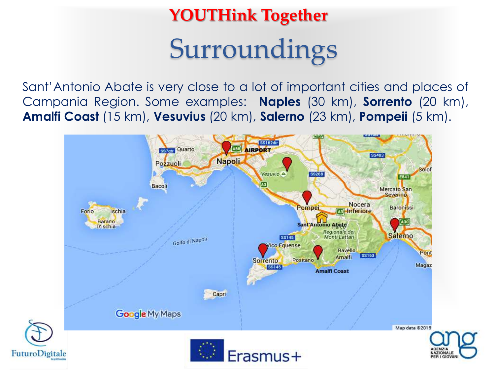### Surroundings **YOUTHink Together**

Sant'Antonio Abate is very close to a lot of important cities and places of Campania Region. Some examples: **Naples** (30 km), **Sorrento** (20 km), **Amalfi Coast** (15 km), **Vesuvius** (20 km), **Salerno** (23 km), **Pompeii** (5 km).

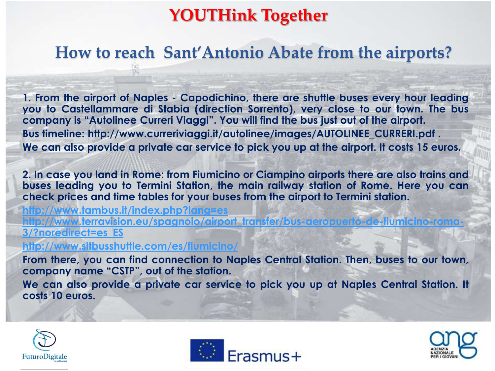#### **How to reach Sant'Antonio Abate from the airports?**

**1. From the airport of Naples - Capodichino, there are shuttle buses every hour leading you to Castellammare di Stabia (direction Sorrento), very close to our town. The bus company is "Autolinee Curreri Viaggi". You will find the bus just out of the airport. Bus timeline: http://www.curreriviaggi.it/autolinee/images/AUTOLINEE\_CURRERI.pdf . We can also provide a private car service to pick you up at the airport. It costs 15 euros.**

**2. In case you land in Rome: from Fiumicino or Ciampino airports there are also trains and buses leading you to Termini Station, the main railway station of Rome. Here you can check prices and time tables for your buses from the airport to Termini station.**

**<http://www.tambus.it/index.php?lang=es>** <u>tp://www.terravision.eu/spagnolo/airport\_transfer/bus-aeropuerto-de-fiumicino-roma-</u> **[3/?noredirect=es\\_ES](http://www.terravision.eu/spagnolo/airport_transfer/bus-aeropuerto-de-fiumicino-roma-3/?noredirect=es_ES)**

**<http://www.sitbusshuttle.com/es/fiumicino/>**

**From there, you can find connection to Naples Central Station. Then, buses to our town, company name "CSTP", out of the station.**

**We can also provide a private car service to pick you up at Naples Central Station. It costs 10 euros.**

![](_page_8_Picture_8.jpeg)

![](_page_8_Picture_9.jpeg)

![](_page_8_Picture_10.jpeg)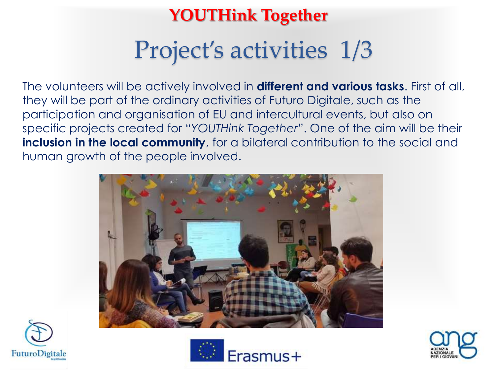### Project's activities 1/3

The volunteers will be actively involved in **different and various tasks**. First of all, they will be part of the ordinary activities of Futuro Digitale, such as the participation and organisation of EU and intercultural events, but also on specific projects created for "*YOUTHink Together*". One of the aim will be their **inclusion in the local community**, for a bilateral contribution to the social and human growth of the people involved.

![](_page_9_Picture_3.jpeg)

![](_page_9_Picture_4.jpeg)

![](_page_9_Picture_5.jpeg)

![](_page_9_Picture_6.jpeg)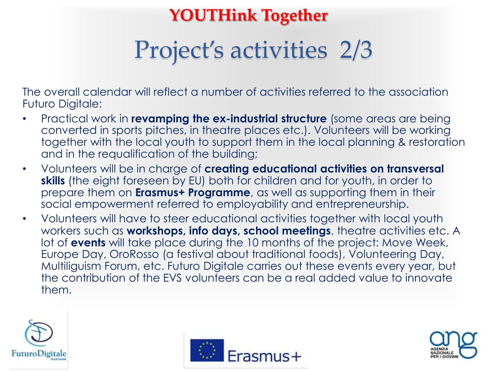### Project's activities 2/3

The overall calendar will reflect a number of activities referred to the association Futuro Digitale:

- Practical work in **revamping the ex-industrial structure** (some areas are being converted in sports pitches, in theatre places etc.). Volunteers will be working together with the local youth to support them in the local planning & restoration and in the requalification of the building;
- Volunteers will be in charge of **creating educational activities on transversal skills** (the eight foreseen by EU) both for children and for youth, in order to prepare them on **Erasmus+ Programme**, as well as supporting them in their social empowerment referred to employability and entrepreneurship.
- Volunteers will have to steer educational activities together with local youth workers such as **workshops, info days, school meetings**, theatre activities etc. A lot of **events** will take place during the 10 months of the project: Move Week, Europe Day, OroRosso (a festival about traditional foods), Volunteering Day, Multiliguism Forum, etc. Futuro Digitale carries out these events every year, but the contribution of the EVS volunteers can be a real added value to innovate them.

![](_page_10_Picture_6.jpeg)

![](_page_10_Picture_7.jpeg)

![](_page_10_Picture_8.jpeg)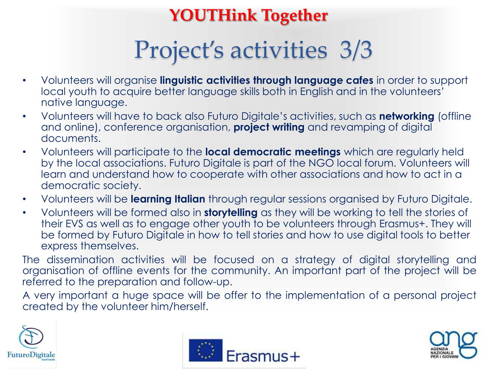### Project's activities 3/3

- Volunteers will organise **linguistic activities through language cafes** in order to support local youth to acquire better language skills both in English and in the volunteers' native language.
- Volunteers will have to back also Futuro Digitale's activities, such as **networking** (offline and online), conference organisation, **project writing** and revamping of digital documents.
- Volunteers will participate to the **local democratic meetings** which are regularly held by the local associations. Futuro Digitale is part of the NGO local forum. Volunteers will learn and understand how to cooperate with other associations and how to act in a democratic society.
- Volunteers will be **learning Italian** through regular sessions organised by Futuro Digitale.
- Volunteers will be formed also in **storytelling** as they will be working to tell the stories of their EVS as well as to engage other youth to be volunteers through Erasmus+. They will be formed by Futuro Digitale in how to tell stories and how to use digital tools to better express themselves.

The dissemination activities will be focused on a strategy of digital storytelling and organisation of offline events for the community. An important part of the project will be referred to the preparation and follow-up.

A very important a huge space will be offer to the implementation of a personal project created by the volunteer him/herself.

![](_page_11_Picture_9.jpeg)

![](_page_11_Picture_10.jpeg)

![](_page_11_Picture_11.jpeg)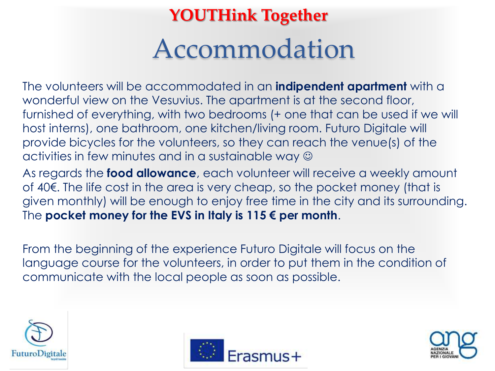### Accommodation **YOUTHink Together**

The volunteers will be accommodated in an **indipendent apartment** with a wonderful view on the Vesuvius. The apartment is at the second floor, furnished of everything, with two bedrooms (+ one that can be used if we will host interns), one bathroom, one kitchen/living room. Futuro Digitale will provide bicycles for the volunteers, so they can reach the venue(s) of the activities in few minutes and in a sustainable way  $\odot$ 

As regards the **food allowance**, each volunteer will receive a weekly amount of 40€. The life cost in the area is very cheap, so the pocket money (that is given monthly) will be enough to enjoy free time in the city and its surrounding. The **pocket money for the EVS in Italy is 115 € per month**.

From the beginning of the experience Futuro Digitale will focus on the language course for the volunteers, in order to put them in the condition of communicate with the local people as soon as possible.

![](_page_12_Picture_4.jpeg)

![](_page_12_Picture_5.jpeg)

![](_page_12_Picture_6.jpeg)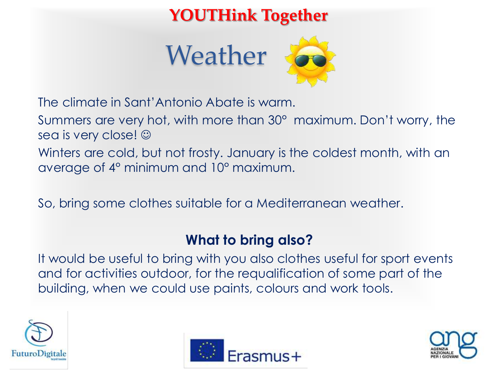![](_page_13_Picture_1.jpeg)

![](_page_13_Picture_2.jpeg)

The climate in Sant'Antonio Abate is warm.

Summers are very hot, with more than 30° maximum. Don't worry, the sea is very close!  $\odot$ 

Winters are cold, but not frosty. January is the coldest month, with an average of 4° minimum and 10° maximum.

So, bring some clothes suitable for a Mediterranean weather.

#### **What to bring also?**

It would be useful to bring with you also clothes useful for sport events and for activities outdoor, for the requalification of some part of the building, when we could use paints, colours and work tools.

![](_page_13_Picture_9.jpeg)

![](_page_13_Picture_10.jpeg)

![](_page_13_Picture_11.jpeg)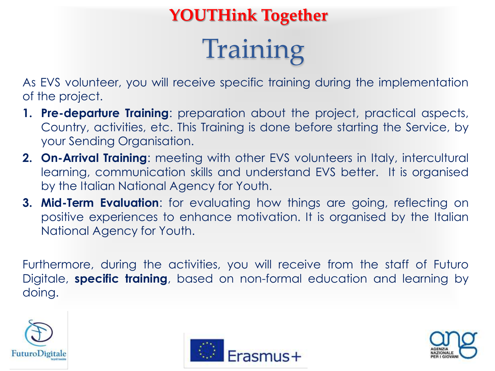# Training

As EVS volunteer, you will receive specific training during the implementation of the project.

- **1. Pre-departure Training**: preparation about the project, practical aspects, Country, activities, etc. This Training is done before starting the Service, by your Sending Organisation.
- **2. On-Arrival Training**: meeting with other EVS volunteers in Italy, intercultural learning, communication skills and understand EVS better. It is organised by the Italian National Agency for Youth.
- **3. Mid-Term Evaluation**: for evaluating how things are going, reflecting on positive experiences to enhance motivation. It is organised by the Italian National Agency for Youth.

Furthermore, during the activities, you will receive from the staff of Futuro Digitale, **specific training**, based on non-formal education and learning by doing.

![](_page_14_Picture_7.jpeg)

![](_page_14_Picture_8.jpeg)

![](_page_14_Picture_9.jpeg)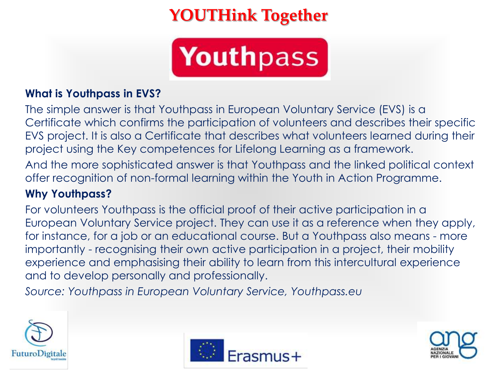![](_page_15_Picture_1.jpeg)

#### **What is Youthpass in EVS?**

The simple answer is that Youthpass in European Voluntary Service (EVS) is a Certificate which confirms the participation of volunteers and describes their specific EVS project. It is also a Certificate that describes what volunteers learned during their project using the Key competences for Lifelong Learning as a framework.

And the more sophisticated answer is that Youthpass and the linked political context offer recognition of non-formal learning within the Youth in Action Programme.

#### **Why Youthpass?**

For volunteers Youthpass is the official proof of their active participation in a European Voluntary Service project. They can use it as a reference when they apply, for instance, for a job or an educational course. But a Youthpass also means - more importantly - recognising their own active participation in a project, their mobility experience and emphasising their ability to learn from this intercultural experience and to develop personally and professionally.

*Source: Youthpass in European Voluntary Service, Youthpass.eu*

![](_page_15_Picture_8.jpeg)

![](_page_15_Picture_9.jpeg)

![](_page_15_Picture_10.jpeg)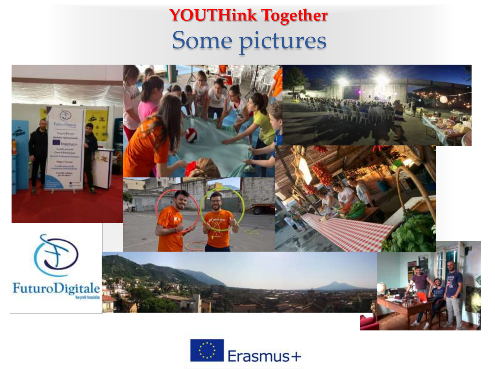### Some pictures **YOUTHink Together**

![](_page_16_Picture_1.jpeg)

![](_page_16_Picture_2.jpeg)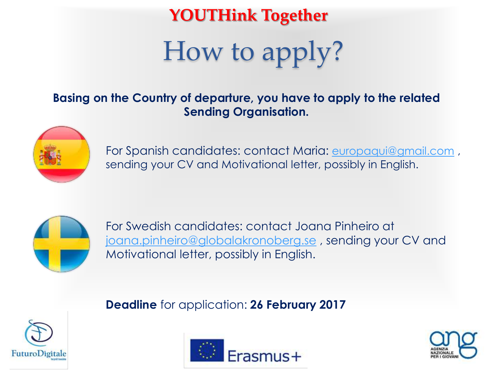## How to apply?

#### **Basing on the Country of departure, you have to apply to the related Sending Organisation.**

![](_page_17_Picture_3.jpeg)

For Spanish candidates: contact Maria: [europaqui@gmail.com](mailto:europaqui@gmail.com) , sending your CV and Motivational letter, possibly in English.

![](_page_17_Picture_5.jpeg)

For Swedish candidates: contact Joana Pinheiro at [joana.pinheiro@globalakronoberg.se](mailto:joana.pinheiro@globalakronoberg.se) , sending your CV and Motivational letter, possibly in English.

**Deadline** for application: **26 February 2017** 

![](_page_17_Picture_8.jpeg)

![](_page_17_Picture_9.jpeg)

![](_page_17_Picture_10.jpeg)